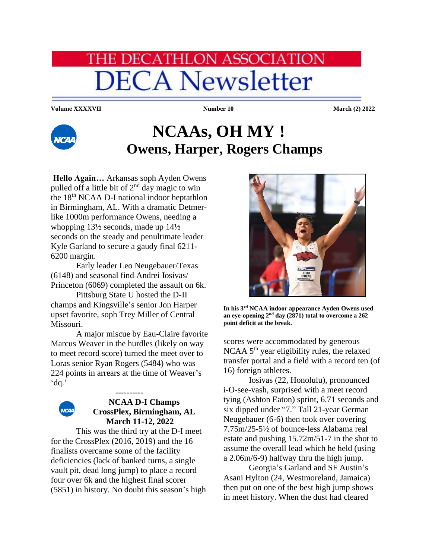# **HE DECATHLON ASSOCIATION DECA Newsletter**

#### **Volume XXXXVII Number 10 March (2) 2022**



## **NCAAs, OH MY ! Owens, Harper, Rogers Champs**

**Hello Again…** Arkansas soph Ayden Owens pulled off a little bit of  $2<sup>nd</sup>$  day magic to win the 18<sup>th</sup> NCAA D-I national indoor heptathlon in Birmingham, AL. With a dramatic Detmerlike 1000m performance Owens, needing a whopping 13½ seconds, made up 14½ seconds on the steady and penultimate leader Kyle Garland to secure a gaudy final 6211- 6200 margin.

Early leader Leo Neugebauer/Texas (6148) and seasonal find Andrei Iosivas/ Princeton (6069) completed the assault on 6k.

Pittsburg State U hosted the D-II champs and Kingsville's senior Jon Harper upset favorite, soph Trey Miller of Central Missouri.

A major miscue by Eau-Claire favorite Marcus Weaver in the hurdles (likely on way to meet record score) turned the meet over to Loras senior Ryan Rogers (5484) who was 224 points in arrears at the time of Weaver's 'dq.'

----------



#### **NCAA D-I Champs CrossPlex, Birmingham, AL March 11-12, 2022**

This was the third try at the D-I meet for the CrossPlex (2016, 2019) and the 16 finalists overcame some of the facility deficiencies (lack of banked turns, a single vault pit, dead long jump) to place a record four over 6k and the highest final scorer (5851) in history. No doubt this season's high



**In his 3rd NCAA indoor appearance Ayden Owens used an eye-opening 2nd day (2871) total to overcome a 262 point deficit at the break.**

scores were accommodated by generous NCAA  $5<sup>th</sup>$  year eligibility rules, the relaxed transfer portal and a field with a record ten (of 16) foreign athletes.

Iosivas (22, Honolulu), pronounced i-O-see-vash, surprised with a meet record tying (Ashton Eaton) sprint, 6.71 seconds and six dipped under "7." Tall 21-year German Neugebauer (6-6) then took over covering 7.75m/25-5½ of bounce-less Alabama real estate and pushing 15.72m/51-7 in the shot to assume the overall lead which he held (using a 2.06m/6-9) halfway thru the high jump.

Georgia's Garland and SF Austin's Asani Hylton (24, Westmoreland, Jamaica) then put on one of the best high jump shows in meet history. When the dust had cleared